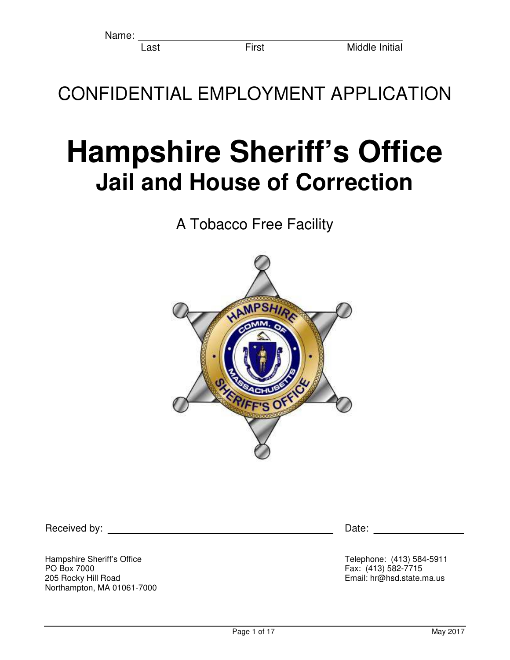Name:

CONFIDENTIAL EMPLOYMENT APPLICATION

# **Hampshire Sheriff's Office Jail and House of Correction**

A Tobacco Free Facility



Received by: Date: Deceived by:

Hampshire Sheriff's Office<br>
PO Box 7000<br>
Fax: (413) 582-7715 PO Box 7000 Fax: (413) 582-7715 Northampton, MA 01061-7000

Email: hr@hsd.state.ma.us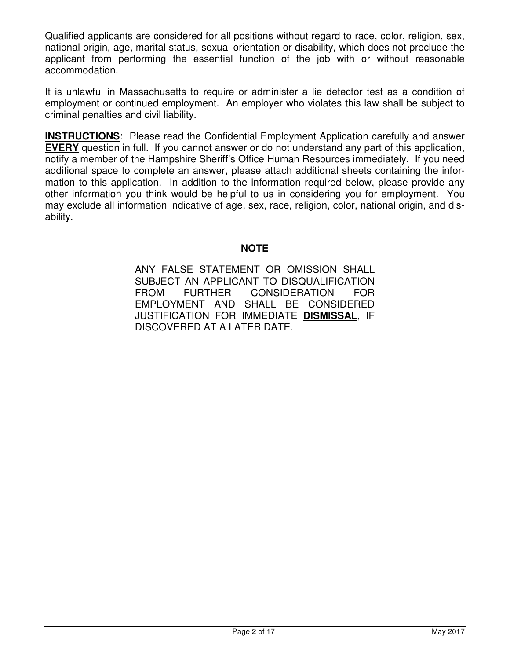Qualified applicants are considered for all positions without regard to race, color, religion, sex, national origin, age, marital status, sexual orientation or disability, which does not preclude the applicant from performing the essential function of the job with or without reasonable accommodation.

It is unlawful in Massachusetts to require or administer a lie detector test as a condition of employment or continued employment. An employer who violates this law shall be subject to criminal penalties and civil liability.

**INSTRUCTIONS**: Please read the Confidential Employment Application carefully and answer **EVERY** question in full. If you cannot answer or do not understand any part of this application, notify a member of the Hampshire Sheriff's Office Human Resources immediately. If you need additional space to complete an answer, please attach additional sheets containing the information to this application. In addition to the information required below, please provide any other information you think would be helpful to us in considering you for employment. You may exclude all information indicative of age, sex, race, religion, color, national origin, and disability.

#### **NOTE**

ANY FALSE STATEMENT OR OMISSION SHALL SUBJECT AN APPLICANT TO DISQUALIFICATION FROM FURTHER CONSIDERATION FOR EMPLOYMENT AND SHALL BE CONSIDERED JUSTIFICATION FOR IMMEDIATE **DISMISSAL**, IF DISCOVERED AT A LATER DATE.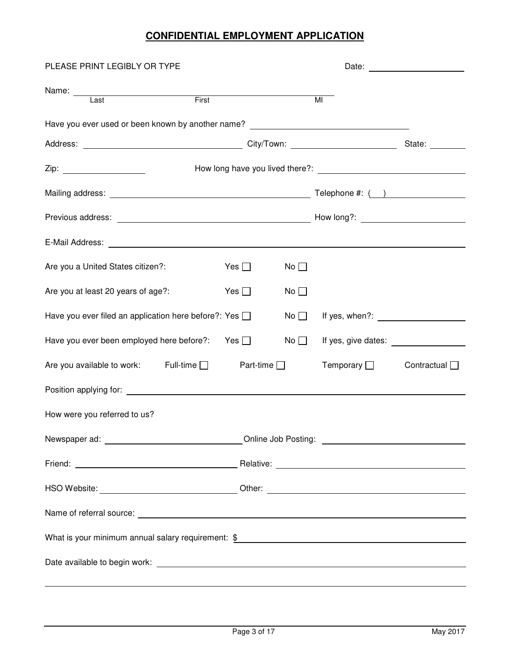#### **CONFIDENTIAL EMPLOYMENT APPLICATION**

| PLEASE PRINT LEGIBLY OR TYPE                                                                                                                                                                                                   |            |                 |                  | Date: <u>________________</u> |  |  |
|--------------------------------------------------------------------------------------------------------------------------------------------------------------------------------------------------------------------------------|------------|-----------------|------------------|-------------------------------|--|--|
| Name: Last First                                                                                                                                                                                                               |            |                 | $\overline{M}$   |                               |  |  |
| Have you ever used or been known by another name? [14] The contract of the contract of the contract of the contract of the contract of the contract of the contract of the contract of the contract of the contract of the con |            |                 |                  |                               |  |  |
|                                                                                                                                                                                                                                |            |                 |                  |                               |  |  |
|                                                                                                                                                                                                                                |            |                 |                  |                               |  |  |
|                                                                                                                                                                                                                                |            |                 |                  |                               |  |  |
|                                                                                                                                                                                                                                |            |                 |                  |                               |  |  |
|                                                                                                                                                                                                                                |            |                 |                  |                               |  |  |
| Are you a United States citizen?:                                                                                                                                                                                              | Yes $\Box$ | No <sub>1</sub> |                  |                               |  |  |
| Are you at least 20 years of age?:                                                                                                                                                                                             | Yes $\Box$ | No              |                  |                               |  |  |
| Have you ever filed an application here before?: Yes [                                                                                                                                                                         |            | No $\square$    |                  |                               |  |  |
| Have you ever been employed here before?: Yes $\Box$                                                                                                                                                                           |            | No $\square$    |                  |                               |  |  |
| Are you available to work: Full-time $\Box$ Part-time $\Box$                                                                                                                                                                   |            |                 | Temporary $\Box$ | Contractual $\Box$            |  |  |
|                                                                                                                                                                                                                                |            |                 |                  |                               |  |  |
| How were you referred to us?                                                                                                                                                                                                   |            |                 |                  |                               |  |  |
| Newspaper ad: __________________________________Online Job Posting: ________________________________                                                                                                                           |            |                 |                  |                               |  |  |
|                                                                                                                                                                                                                                |            |                 |                  |                               |  |  |
| HSO Website: ___________________________________Other: __________________________                                                                                                                                              |            |                 |                  |                               |  |  |
|                                                                                                                                                                                                                                |            |                 |                  |                               |  |  |
| What is your minimum annual salary requirement: $\frac{1}{2}$                                                                                                                                                                  |            |                 |                  |                               |  |  |
|                                                                                                                                                                                                                                |            |                 |                  |                               |  |  |
|                                                                                                                                                                                                                                |            |                 |                  |                               |  |  |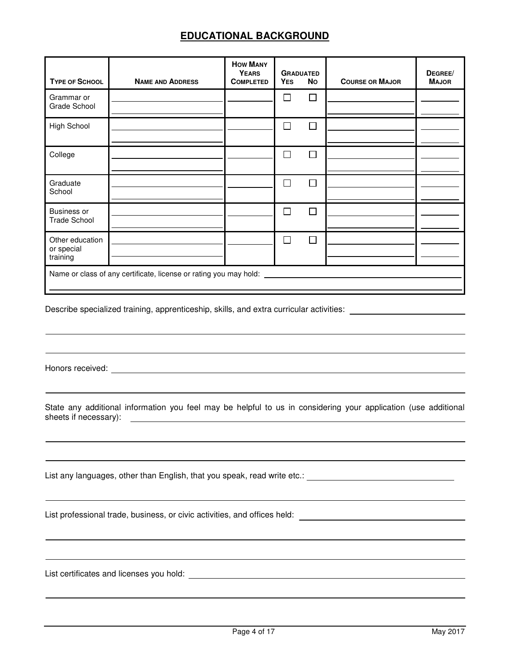#### **EDUCATIONAL BACKGROUND**

| <b>TYPE OF SCHOOL</b>                                             | <b>NAME AND ADDRESS</b> | <b>HOW MANY</b><br><b>YEARS</b><br><b>COMPLETED</b> | <b>GRADUATED</b><br><b>YES</b> | <b>No</b> | <b>COURSE OR MAJOR</b> | DEGREE/<br><b>MAJOR</b> |
|-------------------------------------------------------------------|-------------------------|-----------------------------------------------------|--------------------------------|-----------|------------------------|-------------------------|
| Grammar or<br>Grade School                                        |                         |                                                     | Π                              | П         |                        |                         |
| High School                                                       |                         |                                                     | $\mathcal{L}_{\mathcal{A}}$    | $\Box$    |                        |                         |
| College                                                           |                         |                                                     | П                              | П         |                        |                         |
| Graduate<br>School                                                |                         |                                                     |                                | П         |                        |                         |
| <b>Business or</b><br><b>Trade School</b>                         |                         |                                                     |                                | П         |                        |                         |
| Other education<br>or special<br>training                         |                         |                                                     |                                | П         |                        |                         |
| Name or class of any certificate, license or rating you may hold: |                         |                                                     |                                |           |                        |                         |

Describe specialized training, apprenticeship, skills, and extra curricular activities: \_\_\_\_\_\_\_\_\_\_\_\_\_\_\_\_\_\_\_\_\_\_

Honors received:

l

 $\overline{a}$ 

State any additional information you feel may be helpful to us in considering your application (use additional sheets if necessary):

List any languages, other than English, that you speak, read write etc.:

List professional trade, business, or civic activities, and offices held:

List certificates and licenses you hold: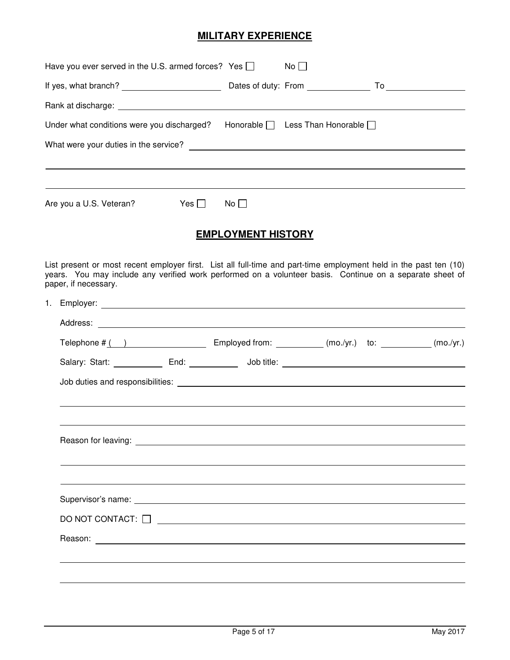#### **MILITARY EXPERIENCE**

| Have you ever served in the U.S. armed forces? Yes $\Box$                                                                                                                                                                                             |                           | $No$ $\Box$ |  |
|-------------------------------------------------------------------------------------------------------------------------------------------------------------------------------------------------------------------------------------------------------|---------------------------|-------------|--|
|                                                                                                                                                                                                                                                       |                           |             |  |
|                                                                                                                                                                                                                                                       |                           |             |  |
| Under what conditions were you discharged? Honorable $\Box$ Less Than Honorable $\Box$                                                                                                                                                                |                           |             |  |
|                                                                                                                                                                                                                                                       |                           |             |  |
|                                                                                                                                                                                                                                                       |                           |             |  |
|                                                                                                                                                                                                                                                       |                           |             |  |
| Are you a U.S. Veteran?<br>$\mathsf{Yes} \ \Box \qquad \mathsf{No} \ \Box$                                                                                                                                                                            |                           |             |  |
|                                                                                                                                                                                                                                                       | <b>EMPLOYMENT HISTORY</b> |             |  |
|                                                                                                                                                                                                                                                       |                           |             |  |
| List present or most recent employer first. List all full-time and part-time employment held in the past ten (10)<br>years. You may include any verified work performed on a volunteer basis. Continue on a separate sheet of<br>paper, if necessary. |                           |             |  |
|                                                                                                                                                                                                                                                       |                           |             |  |
|                                                                                                                                                                                                                                                       |                           |             |  |
| Telephone $\#$ ( ) Employed from: $\qquad \qquad$ (mo./yr.) to: $\qquad \qquad$ (mo./yr.)                                                                                                                                                             |                           |             |  |
|                                                                                                                                                                                                                                                       |                           |             |  |
|                                                                                                                                                                                                                                                       |                           |             |  |
|                                                                                                                                                                                                                                                       |                           |             |  |
|                                                                                                                                                                                                                                                       |                           |             |  |
|                                                                                                                                                                                                                                                       |                           |             |  |
|                                                                                                                                                                                                                                                       |                           |             |  |
|                                                                                                                                                                                                                                                       |                           |             |  |
|                                                                                                                                                                                                                                                       |                           |             |  |
| DO NOT CONTACT: $\Box$                                                                                                                                                                                                                                |                           |             |  |
|                                                                                                                                                                                                                                                       |                           |             |  |
|                                                                                                                                                                                                                                                       |                           |             |  |
|                                                                                                                                                                                                                                                       |                           |             |  |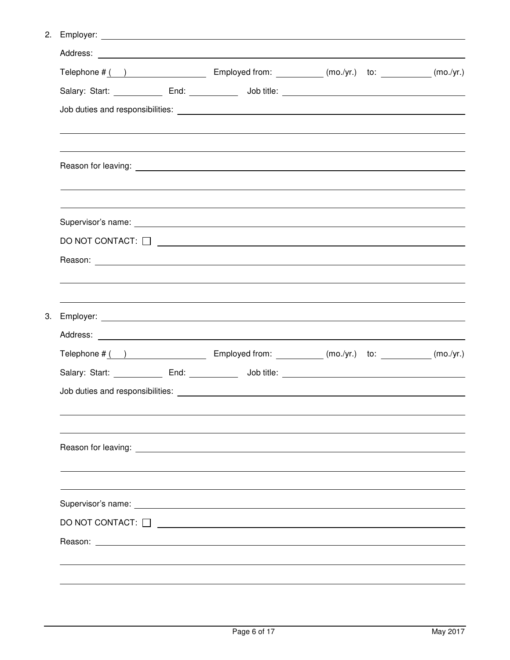2. Employer:

|  |                        | Telephone $\#$ ( ) Employed from: __________ (mo./yr.) to: ________ (mo./yr.)                   |  |
|--|------------------------|-------------------------------------------------------------------------------------------------|--|
|  |                        |                                                                                                 |  |
|  |                        |                                                                                                 |  |
|  |                        |                                                                                                 |  |
|  |                        |                                                                                                 |  |
|  |                        |                                                                                                 |  |
|  |                        | DO NOT CONTACT: $\Box$                                                                          |  |
|  |                        |                                                                                                 |  |
|  |                        |                                                                                                 |  |
|  |                        |                                                                                                 |  |
|  |                        |                                                                                                 |  |
|  |                        | Telephone $\#$ ( ) Employed from: $\frac{1}{2}$ (mo./yr.) to: $\frac{1}{2}$ (mo./yr.) (mo./yr.) |  |
|  |                        |                                                                                                 |  |
|  |                        |                                                                                                 |  |
|  |                        |                                                                                                 |  |
|  |                        |                                                                                                 |  |
|  |                        |                                                                                                 |  |
|  | DO NOT CONTACT: $\Box$ |                                                                                                 |  |
|  |                        |                                                                                                 |  |
|  |                        |                                                                                                 |  |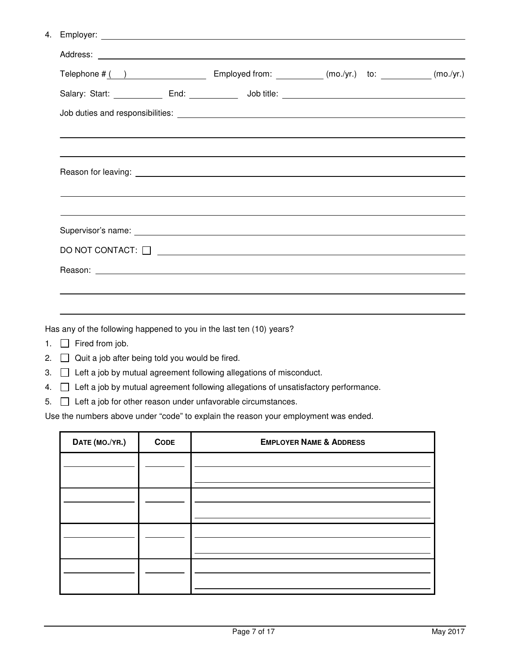|  | Employer: |  |
|--|-----------|--|
|--|-----------|--|

| DO NOT CONTACT: $\Box$ |  |  |  |
|------------------------|--|--|--|
|                        |  |  |  |
|                        |  |  |  |

Has any of the following happened to you in the last ten (10) years?

- 1. **Fired from job.**
- 2.  $\Box$  Quit a job after being told you would be fired.
- 3.  $\Box$  Left a job by mutual agreement following allegations of misconduct.
- 4.  $\Box$  Left a job by mutual agreement following allegations of unsatisfactory performance.
- $5.$   $\Box$  Left a job for other reason under unfavorable circumstances.

Use the numbers above under "code" to explain the reason your employment was ended.

| DATE (MO./YR.) | <b>CODE</b> | <b>EMPLOYER NAME &amp; ADDRESS</b> |
|----------------|-------------|------------------------------------|
|                |             |                                    |
|                |             |                                    |
|                |             |                                    |
|                |             |                                    |
|                |             |                                    |
|                |             |                                    |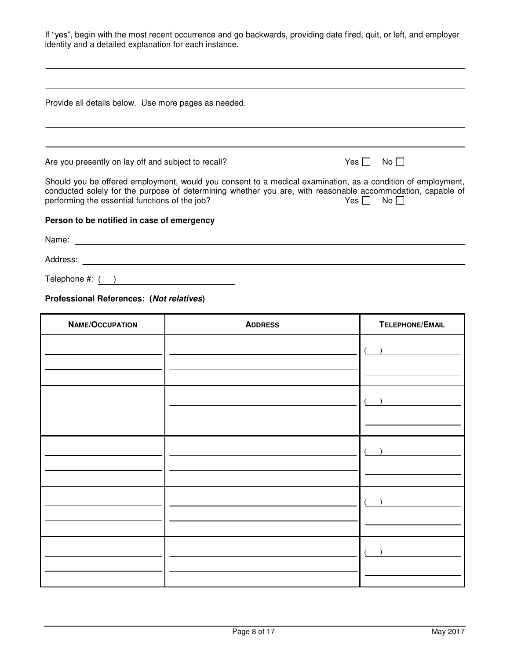If "yes", begin with the most recent occurrence and go backwards, providing date fired, quit, or left, and employer identity and a detailed explanation for each instance.

| Provide all details below. Use more pages as needed.                                                                                                                                                                                                                        |         |       |
|-----------------------------------------------------------------------------------------------------------------------------------------------------------------------------------------------------------------------------------------------------------------------------|---------|-------|
|                                                                                                                                                                                                                                                                             |         |       |
| Are you presently on lay off and subject to recall?                                                                                                                                                                                                                         | Yes I I | No II |
| Should you be offered employment, would you consent to a medical examination, as a condition of employment,<br>conducted solely for the purpose of determining whether you are, with reasonable accommodation, capable of<br>performing the essential functions of the job? | Yes I I | $No$  |
| Person to be notified in case of emergency                                                                                                                                                                                                                                  |         |       |
| Name: Name: Name: Name: Name: Name: Name: Name: Name: Name: Name: Name: Name: Name: Name: Name: Name: Name: Name: Name: Name: Name: Name: Name: Name: Name: Name: Name: Name: Name: Name: Name: Name: Name: Name: Name: Name:                                               |         |       |
|                                                                                                                                                                                                                                                                             |         |       |
| Telephone #: ()                                                                                                                                                                                                                                                             |         |       |

#### **Professional References: (Not relatives)**

| NAME/OCCUPATION | <b>ADDRESS</b> | TELEPHONE/EMAIL |
|-----------------|----------------|-----------------|
|                 |                |                 |
|                 |                |                 |
|                 |                |                 |
|                 |                |                 |
|                 |                |                 |
|                 |                |                 |
|                 |                |                 |
|                 |                |                 |
|                 |                |                 |
|                 |                |                 |
|                 |                |                 |
|                 |                |                 |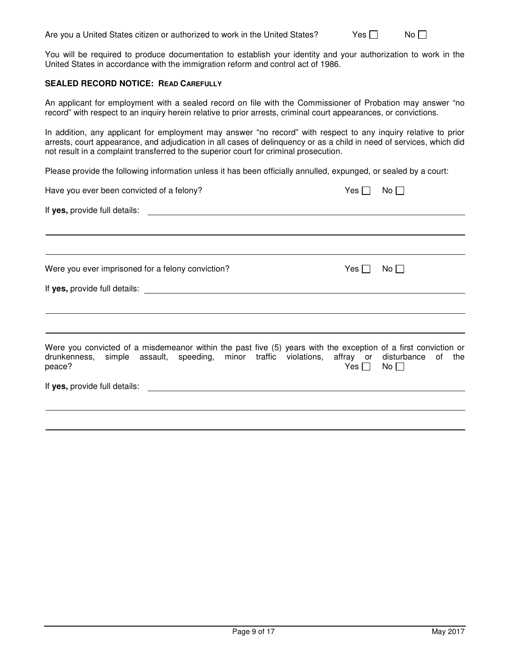You will be required to produce documentation to establish your identity and your authorization to work in the United States in accordance with the immigration reform and control act of 1986.

#### **SEALED RECORD NOTICE: READ CAREFULLY**

 $\overline{a}$ 

An applicant for employment with a sealed record on file with the Commissioner of Probation may answer "no record" with respect to an inquiry herein relative to prior arrests, criminal court appearances, or convictions.

In addition, any applicant for employment may answer "no record" with respect to any inquiry relative to prior arrests, court appearance, and adjudication in all cases of delinquency or as a child in need of services, which did not result in a complaint transferred to the superior court for criminal prosecution.

Please provide the following information unless it has been officially annulled, expunged, or sealed by a court:

| Have you ever been convicted of a felony?                                                                                                                                                                                 | $Yes \Box$ | No II |
|---------------------------------------------------------------------------------------------------------------------------------------------------------------------------------------------------------------------------|------------|-------|
|                                                                                                                                                                                                                           |            |       |
|                                                                                                                                                                                                                           |            |       |
|                                                                                                                                                                                                                           |            |       |
| Were you ever imprisoned for a felony conviction?                                                                                                                                                                         | Yes        | $No$  |
|                                                                                                                                                                                                                           |            |       |
|                                                                                                                                                                                                                           |            |       |
|                                                                                                                                                                                                                           |            |       |
| Were you convicted of a misdemeanor within the past five (5) years with the exception of a first conviction or<br>drunkenness, simple assault, speeding, minor traffic violations, affray or disturbance of the<br>peace? | Yes $\Box$ | $No$  |
| If yes, provide full details:                                                                                                                                                                                             |            |       |
|                                                                                                                                                                                                                           |            |       |
|                                                                                                                                                                                                                           |            |       |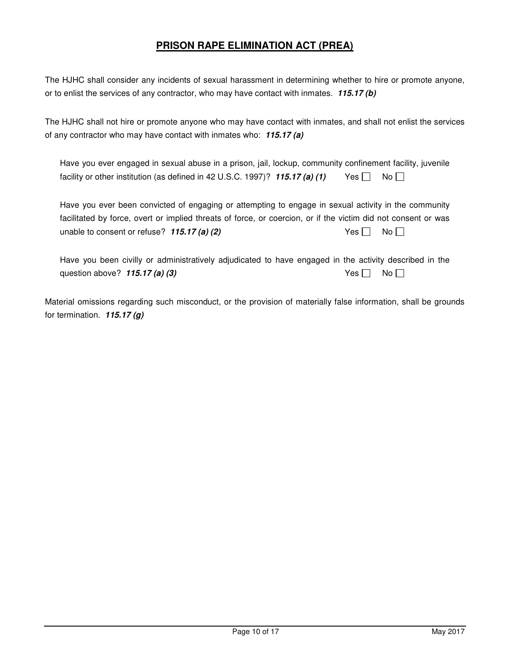#### **PRISON RAPE ELIMINATION ACT (PREA)**

The HJHC shall consider any incidents of sexual harassment in determining whether to hire or promote anyone, or to enlist the services of any contractor, who may have contact with inmates. **115.17 (b)**

The HJHC shall not hire or promote anyone who may have contact with inmates, and shall not enlist the services of any contractor who may have contact with inmates who: **115.17 (a)**

| Have you ever engaged in sexual abuse in a prison, jail, lockup, community confinement facility, juvenile |                    |  |
|-----------------------------------------------------------------------------------------------------------|--------------------|--|
| facility or other institution (as defined in 42 U.S.C. 1997)? 115.17 (a) (1)                              | $Yes \Box No \Box$ |  |

Have you ever been convicted of engaging or attempting to engage in sexual activity in the community facilitated by force, overt or implied threats of force, or coercion, or if the victim did not consent or was unable to consent or refuse?  $115.17$  (a) (2) Yes  $\Box$  No  $\Box$ 

Have you been civilly or administratively adjudicated to have engaged in the activity described in the question above? **115.17 (a) (3)** Yes No D

Material omissions regarding such misconduct, or the provision of materially false information, shall be grounds for termination. **115.17 (g)**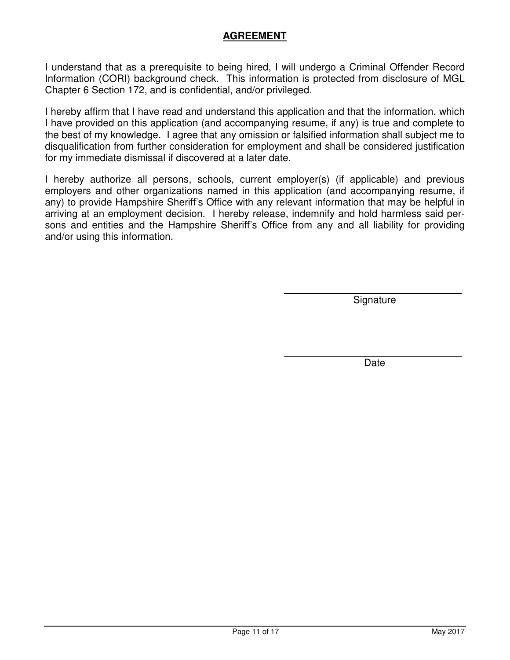### **AGREEMENT**

I understand that as a prerequisite to being hired, I will undergo a Criminal Offender Record Information (CORI) background check. This information is protected from disclosure of MGL Chapter 6 Section 172, and is confidential, and/or privileged.

I hereby affirm that I have read and understand this application and that the information, which I have provided on this application (and accompanying resume, if any) is true and complete to the best of my knowledge. I agree that any omission or falsified information shall subject me to disqualification from further consideration for employment and shall be considered justification for my immediate dismissal if discovered at a later date.

I hereby authorize all persons, schools, current employer(s) (if applicable) and previous employers and other organizations named in this application (and accompanying resume, if any) to provide Hampshire Sheriff's Office with any relevant information that may be helpful in arriving at an employment decision. I hereby release, indemnify and hold harmless said persons and entities and the Hampshire Sheriff's Office from any and all liability for providing and/or using this information.

Signature

Date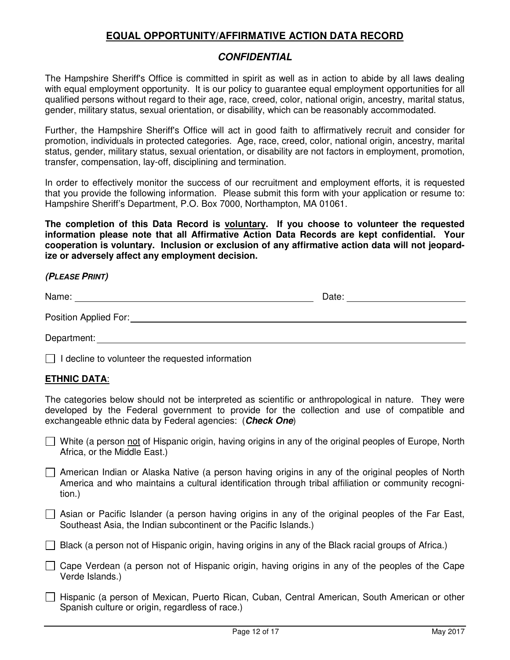#### **EQUAL OPPORTUNITY/AFFIRMATIVE ACTION DATA RECORD**

#### **CONFIDENTIAL**

The Hampshire Sheriff's Office is committed in spirit as well as in action to abide by all laws dealing with equal employment opportunity. It is our policy to guarantee equal employment opportunities for all qualified persons without regard to their age, race, creed, color, national origin, ancestry, marital status, gender, military status, sexual orientation, or disability, which can be reasonably accommodated.

Further, the Hampshire Sheriff's Office will act in good faith to affirmatively recruit and consider for promotion, individuals in protected categories. Age, race, creed, color, national origin, ancestry, marital status, gender, military status, sexual orientation, or disability are not factors in employment, promotion, transfer, compensation, lay-off, disciplining and termination.

In order to effectively monitor the success of our recruitment and employment efforts, it is requested that you provide the following information. Please submit this form with your application or resume to: Hampshire Sheriff's Department, P.O. Box 7000, Northampton, MA 01061.

**The completion of this Data Record is voluntary. If you choose to volunteer the requested information please note that all Affirmative Action Data Records are kept confidential. Your cooperation is voluntary. Inclusion or exclusion of any affirmative action data will not jeopardize or adversely affect any employment decision.** 

#### **(PLEASE PRINT)**

| Name:                 | Date: |  |
|-----------------------|-------|--|
| Position Applied For: |       |  |
| Department:           |       |  |

 $\Box$  I decline to volunteer the requested information

#### **ETHNIC DATA**:

The categories below should not be interpreted as scientific or anthropological in nature. They were developed by the Federal government to provide for the collection and use of compatible and exchangeable ethnic data by Federal agencies: (**Check One**)

- $\Box$  White (a person not of Hispanic origin, having origins in any of the original peoples of Europe, North Africa, or the Middle East.)
- $\Box$  American Indian or Alaska Native (a person having origins in any of the original peoples of North America and who maintains a cultural identification through tribal affiliation or community recognition.)
- $\Box$  Asian or Pacific Islander (a person having origins in any of the original peoples of the Far East, Southeast Asia, the Indian subcontinent or the Pacific Islands.)
- $\Box$  Black (a person not of Hispanic origin, having origins in any of the Black racial groups of Africa.)
- $\Box$  Cape Verdean (a person not of Hispanic origin, having origins in any of the peoples of the Cape Verde Islands.)
- Hispanic (a person of Mexican, Puerto Rican, Cuban, Central American, South American or other Spanish culture or origin, regardless of race.)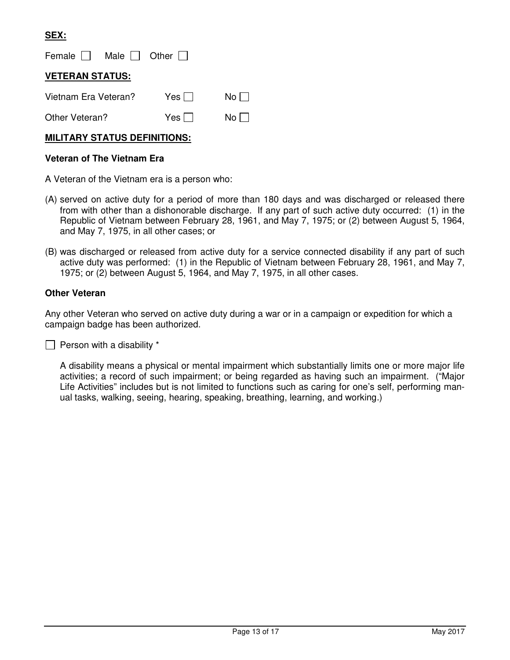#### **SEX:**

Female  $\Box$  Male  $\Box$  Other  $\Box$ 

#### **VETERAN STATUS:**

| Vietnam Era Veteran? | Yes $\Box$ | $No \Box$ |
|----------------------|------------|-----------|
| Other Veteran?       | Yes $\Box$ | $No \Box$ |

#### **MILITARY STATUS DEFINITIONS:**

#### **Veteran of The Vietnam Era**

A Veteran of the Vietnam era is a person who:

- (A) served on active duty for a period of more than 180 days and was discharged or released there from with other than a dishonorable discharge. If any part of such active duty occurred: (1) in the Republic of Vietnam between February 28, 1961, and May 7, 1975; or (2) between August 5, 1964, and May 7, 1975, in all other cases; or
- (B) was discharged or released from active duty for a service connected disability if any part of such active duty was performed: (1) in the Republic of Vietnam between February 28, 1961, and May 7, 1975; or (2) between August 5, 1964, and May 7, 1975, in all other cases.

#### **Other Veteran**

Any other Veteran who served on active duty during a war or in a campaign or expedition for which a campaign badge has been authorized.

 $\Box$  Person with a disability  $*$ 

A disability means a physical or mental impairment which substantially limits one or more major life activities; a record of such impairment; or being regarded as having such an impairment. ("Major Life Activities" includes but is not limited to functions such as caring for one's self, performing manual tasks, walking, seeing, hearing, speaking, breathing, learning, and working.)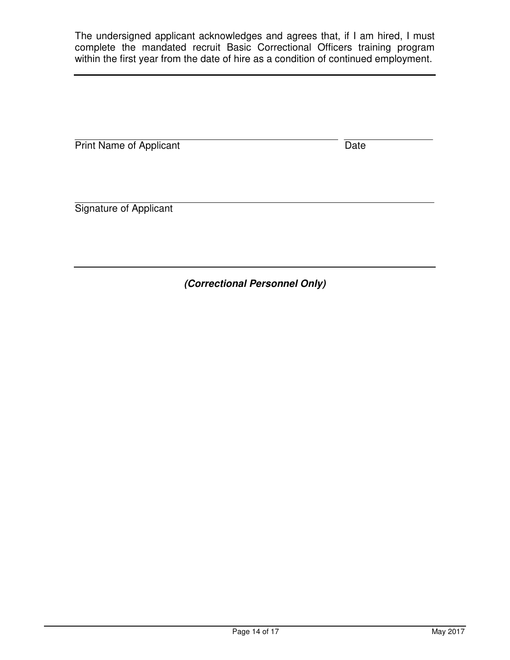The undersigned applicant acknowledges and agrees that, if I am hired, I must complete the mandated recruit Basic Correctional Officers training program within the first year from the date of hire as a condition of continued employment.

Print Name of Applicant Date **Date** 

Signature of Applicant

**(Correctional Personnel Only)**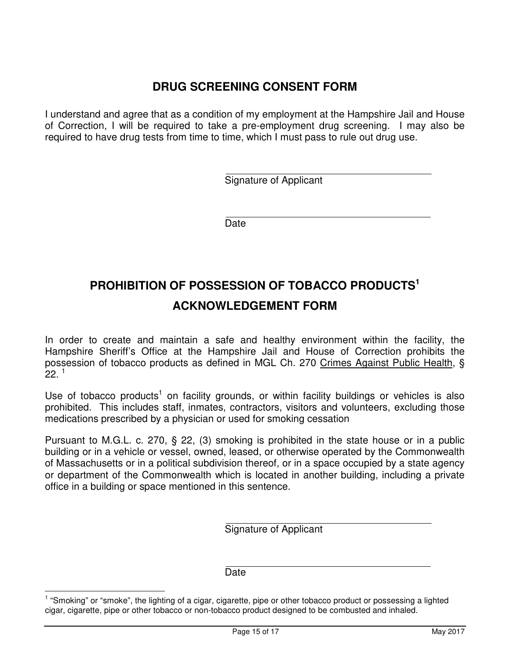# **DRUG SCREENING CONSENT FORM**

I understand and agree that as a condition of my employment at the Hampshire Jail and House of Correction, I will be required to take a pre-employment drug screening. I may also be required to have drug tests from time to time, which I must pass to rule out drug use.

Signature of Applicant

Date

 $\overline{a}$ 

 $\overline{a}$ 

# **PROHIBITION OF POSSESSION OF TOBACCO PRODUCTS<sup>1</sup> ACKNOWLEDGEMENT FORM**

In order to create and maintain a safe and healthy environment within the facility, the Hampshire Sheriff's Office at the Hampshire Jail and House of Correction prohibits the possession of tobacco products as defined in MGL Ch. 270 Crimes Against Public Health, §  $22.1$ 

Use of tobacco products<sup>1</sup> on facility grounds, or within facility buildings or vehicles is also prohibited. This includes staff, inmates, contractors, visitors and volunteers, excluding those medications prescribed by a physician or used for smoking cessation

Pursuant to M.G.L. c. 270, § 22, (3) smoking is prohibited in the state house or in a public building or in a vehicle or vessel, owned, leased, or otherwise operated by the Commonwealth of Massachusetts or in a political subdivision thereof, or in a space occupied by a state agency or department of the Commonwealth which is located in another building, including a private office in a building or space mentioned in this sentence.

Signature of Applicant

**Date** 

 $\overline{a}$ 

 $\overline{a}$ 

<sup>1</sup> "Smoking" or "smoke", the lighting of a cigar, cigarette, pipe or other tobacco product or possessing a lighted cigar, cigarette, pipe or other tobacco or non-tobacco product designed to be combusted and inhaled.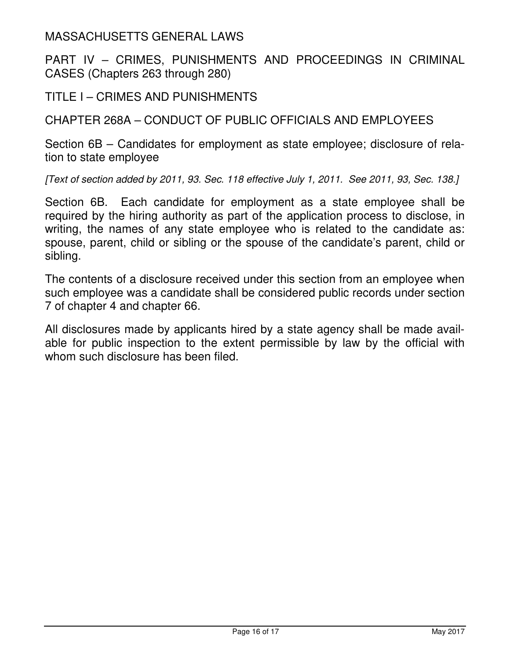MASSACHUSETTS GENERAL LAWS

PART IV – CRIMES, PUNISHMENTS AND PROCEEDINGS IN CRIMINAL CASES (Chapters 263 through 280)

TITLE I – CRIMES AND PUNISHMENTS

CHAPTER 268A – CONDUCT OF PUBLIC OFFICIALS AND EMPLOYEES

Section 6B – Candidates for employment as state employee; disclosure of relation to state employee

[Text of section added by 2011, 93. Sec. 118 effective July 1, 2011. See 2011, 93, Sec. 138.]

Section 6B. Each candidate for employment as a state employee shall be required by the hiring authority as part of the application process to disclose, in writing, the names of any state employee who is related to the candidate as: spouse, parent, child or sibling or the spouse of the candidate's parent, child or sibling.

The contents of a disclosure received under this section from an employee when such employee was a candidate shall be considered public records under section 7 of chapter 4 and chapter 66.

All disclosures made by applicants hired by a state agency shall be made available for public inspection to the extent permissible by law by the official with whom such disclosure has been filed.